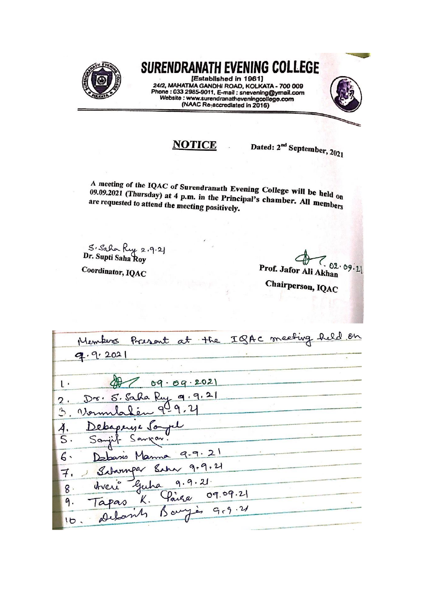

## SURENDRANATH EVENING COLLEGE

[Established in 1961] 24/2, MAHATMA GANDHI ROAD, KOLKATA - 700 009 Phone : 033 2985-9011, E-mail : snevening@ymail.com<br>Website : www.surendranatheveningcollege.com<br>(NAAC Re-accrediated in 2016)



## **NOTICE**

Dated: 2<sup>nd</sup> September, 2021

A meeting of the IQAC of Surendranath Evening College will be held on 09.09.2021 (Thursday) at 4 p.m. in the Principal's chamber. All members are requested to attend the meeting positively.

5. Saha Ruy 2.9.21<br>Dr. Supti Saha Roy

Coordinator, IQAC

02.09.21 Prof. Jafor Ali Akhan

Chairperson, IQAC

| Members Present at the IQAC meeting held on |  |
|---------------------------------------------|--|
| 9.9.202                                     |  |
|                                             |  |
| $1.$ $97.09.09.2021$                        |  |
| Dr. S. Saha Ruy 9.9.21<br>2.                |  |
| Vermlasen 949.4                             |  |
| Debaperys Sayer<br>$\ddot{A}$               |  |
| Sanjit Sangar.<br>$\vert S \cdot$           |  |
| Debasis Manna 9-9.21<br>6.                  |  |
| Sabarupar Sahar 9.9.21<br>$\mathcal{F}$     |  |
| threw guha 9.9.21<br>$8 \cdot$              |  |
| Tapas K. Paire 09.09.21                     |  |
| Details Baryès 9.9.21<br>10.                |  |
|                                             |  |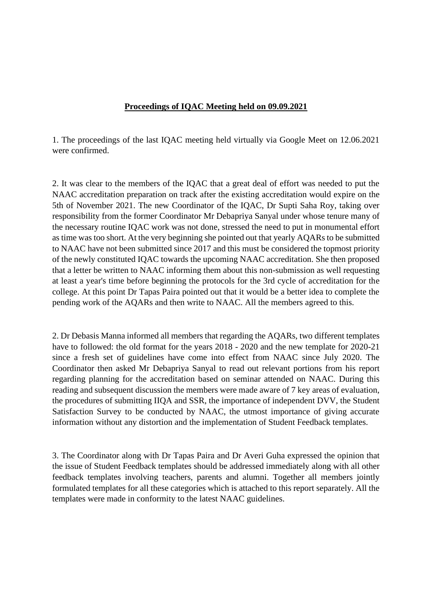## **Proceedings of IQAC Meeting held on 09.09.2021**

1. The proceedings of the last IQAC meeting held virtually via Google Meet on 12.06.2021 were confirmed.

2. It was clear to the members of the IQAC that a great deal of effort was needed to put the NAAC accreditation preparation on track after the existing accreditation would expire on the 5th of November 2021. The new Coordinator of the IQAC, Dr Supti Saha Roy, taking over responsibility from the former Coordinator Mr Debapriya Sanyal under whose tenure many of the necessary routine IQAC work was not done, stressed the need to put in monumental effort as time was too short. At the very beginning she pointed out that yearly AQARs to be submitted to NAAC have not been submitted since 2017 and this must be considered the topmost priority of the newly constituted IQAC towards the upcoming NAAC accreditation. She then proposed that a letter be written to NAAC informing them about this non-submission as well requesting at least a year's time before beginning the protocols for the 3rd cycle of accreditation for the college. At this point Dr Tapas Paira pointed out that it would be a better idea to complete the pending work of the AQARs and then write to NAAC. All the members agreed to this.

2. Dr Debasis Manna informed all members that regarding the AQARs, two different templates have to followed: the old format for the years 2018 - 2020 and the new template for 2020-21 since a fresh set of guidelines have come into effect from NAAC since July 2020. The Coordinator then asked Mr Debapriya Sanyal to read out relevant portions from his report regarding planning for the accreditation based on seminar attended on NAAC. During this reading and subsequent discussion the members were made aware of 7 key areas of evaluation, the procedures of submitting IIQA and SSR, the importance of independent DVV, the Student Satisfaction Survey to be conducted by NAAC, the utmost importance of giving accurate information without any distortion and the implementation of Student Feedback templates.

3. The Coordinator along with Dr Tapas Paira and Dr Averi Guha expressed the opinion that the issue of Student Feedback templates should be addressed immediately along with all other feedback templates involving teachers, parents and alumni. Together all members jointly formulated templates for all these categories which is attached to this report separately. All the templates were made in conformity to the latest NAAC guidelines.